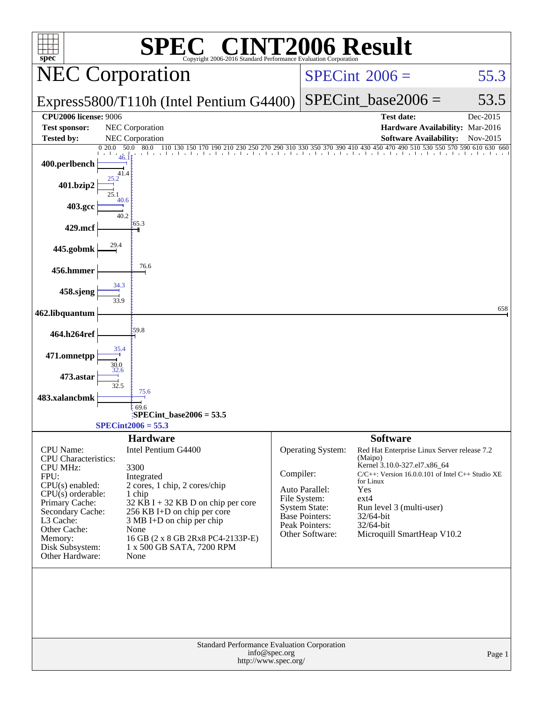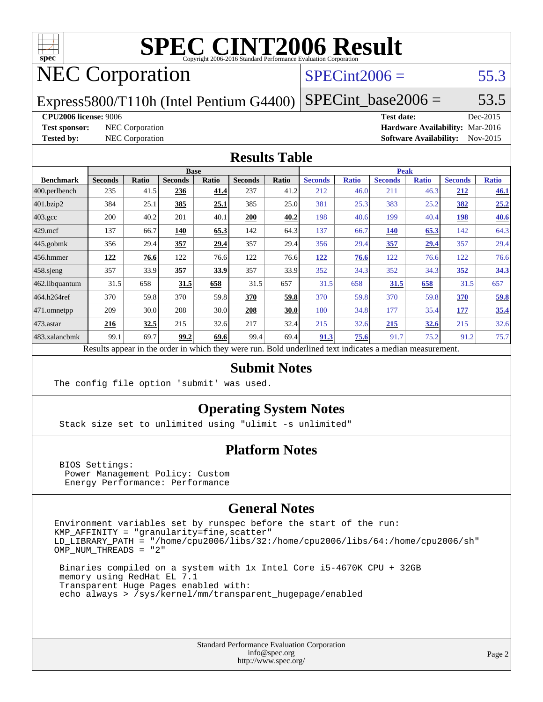

# **[SPEC CINT2006 Result](http://www.spec.org/auto/cpu2006/Docs/result-fields.html#SPECCINT2006Result)**

### NEC Corporation

### $SPECint2006 = 55.3$  $SPECint2006 = 55.3$

Express5800/T110h (Intel Pentium G4400)

 $SPECTnt_base2006 = 53.5$ 

### **[CPU2006 license:](http://www.spec.org/auto/cpu2006/Docs/result-fields.html#CPU2006license)** 9006 **[Test date:](http://www.spec.org/auto/cpu2006/Docs/result-fields.html#Testdate)** Dec-2015

**[Test sponsor:](http://www.spec.org/auto/cpu2006/Docs/result-fields.html#Testsponsor)** NEC Corporation **[Hardware Availability:](http://www.spec.org/auto/cpu2006/Docs/result-fields.html#HardwareAvailability)** Mar-2016 **[Tested by:](http://www.spec.org/auto/cpu2006/Docs/result-fields.html#Testedby)** NEC Corporation **[Software Availability:](http://www.spec.org/auto/cpu2006/Docs/result-fields.html#SoftwareAvailability)** Nov-2015

### **[Results Table](http://www.spec.org/auto/cpu2006/Docs/result-fields.html#ResultsTable)**

|                    | <b>Base</b>    |              |                |              |                | <b>Peak</b> |                |              |                |              |                |              |
|--------------------|----------------|--------------|----------------|--------------|----------------|-------------|----------------|--------------|----------------|--------------|----------------|--------------|
| <b>Benchmark</b>   | <b>Seconds</b> | <b>Ratio</b> | <b>Seconds</b> | <b>Ratio</b> | <b>Seconds</b> | Ratio       | <b>Seconds</b> | <b>Ratio</b> | <b>Seconds</b> | <b>Ratio</b> | <b>Seconds</b> | <b>Ratio</b> |
| 400.perlbench      | 235            | 41.5         | 236            | 41.4         | 237            | 41.2        | 212            | 46.0         | 211            | 46.3         | 212            | 46.1         |
| 401.bzip2          | 384            | 25.1         | 385            | 25.1         | 385            | 25.0        | 381            | 25.3         | 383            | 25.2         | 382            | 25.2         |
| $403.\mathrm{gcc}$ | 200            | 40.2         | 201            | 40.1         | 200            | 40.2        | 198            | 40.6         | 199            | 40.4         | <u>198</u>     | 40.6         |
| $429$ .mcf         | 137            | 66.7         | 140            | 65.3         | 142            | 64.3        | 137            | 66.7         | <b>140</b>     | 65.3         | 142            | 64.3         |
| $445$ .gobmk       | 356            | 29.4         | 357            | 29.4         | 357            | 29.4        | 356            | 29.4         | 357            | 29.4         | 357            | 29.4         |
| $ 456$ .hmmer      | 122            | 76.6         | 122            | 76.6         | 122            | 76.6        | 122            | 76.6         | 122            | 76.6         | 122            | 76.6         |
| $458$ .sjeng       | 357            | 33.9         | 357            | 33.9         | 357            | 33.9        | 352            | 34.3         | 352            | 34.3         | 352            | 34.3         |
| 462.libquantum     | 31.5           | 658          | 31.5           | 658          | 31.5           | 657         | 31.5           | 658          | 31.5           | 658          | 31.5           | 657          |
| 464.h264ref        | 370            | 59.8         | 370            | 59.8         | 370            | 59.8        | 370            | 59.8         | 370            | 59.8         | 370            | 59.8         |
| 471.omnetpp        | 209            | 30.0         | 208            | 30.0         | 208            | 30.0        | 180            | 34.8         | 177            | 35.4         | 177            | 35.4         |
| $473$ . astar      | 216            | 32.5         | 215            | 32.6         | 217            | 32.4        | 215            | 32.6         | 215            | 32.6         | 215            | 32.6         |
| 483.xalancbmk      | 99.1           | 69.7         | 99.2           | 69.6         | 99.4           | 69.4        | 91.3           | 75.6         | 91.7           | 75.2         | 91.2           | 75.7         |
|                    |                |              |                |              |                |             |                |              |                |              |                |              |

Results appear in the [order in which they were run.](http://www.spec.org/auto/cpu2006/Docs/result-fields.html#RunOrder) Bold underlined text [indicates a median measurement.](http://www.spec.org/auto/cpu2006/Docs/result-fields.html#Median)

### **[Submit Notes](http://www.spec.org/auto/cpu2006/Docs/result-fields.html#SubmitNotes)**

The config file option 'submit' was used.

### **[Operating System Notes](http://www.spec.org/auto/cpu2006/Docs/result-fields.html#OperatingSystemNotes)**

Stack size set to unlimited using "ulimit -s unlimited"

### **[Platform Notes](http://www.spec.org/auto/cpu2006/Docs/result-fields.html#PlatformNotes)**

 BIOS Settings: Power Management Policy: Custom Energy Performance: Performance

### **[General Notes](http://www.spec.org/auto/cpu2006/Docs/result-fields.html#GeneralNotes)**

Environment variables set by runspec before the start of the run:  $KMP_A$ FFINITY = "granularity=fine, scatter" LD\_LIBRARY\_PATH = "/home/cpu2006/libs/32:/home/cpu2006/libs/64:/home/cpu2006/sh" OMP\_NUM\_THREADS = "2"

 Binaries compiled on a system with 1x Intel Core i5-4670K CPU + 32GB memory using RedHat EL 7.1 Transparent Huge Pages enabled with: echo always > /sys/kernel/mm/transparent\_hugepage/enabled

> Standard Performance Evaluation Corporation [info@spec.org](mailto:info@spec.org) <http://www.spec.org/>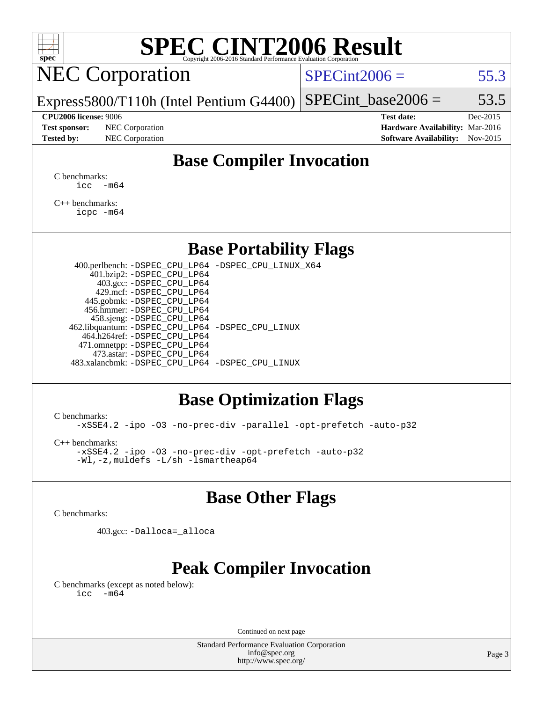## **[SPEC CINT2006 Result](http://www.spec.org/auto/cpu2006/Docs/result-fields.html#SPECCINT2006Result)**

## NEC Corporation

 $SPECint2006 = 55.3$  $SPECint2006 = 55.3$ 

Express5800/T110h (Intel Pentium G4400) SPECint base2006 =  $53.5$ 

**[Test sponsor:](http://www.spec.org/auto/cpu2006/Docs/result-fields.html#Testsponsor)** NEC Corporation **[Hardware Availability:](http://www.spec.org/auto/cpu2006/Docs/result-fields.html#HardwareAvailability)** Mar-2016

**[CPU2006 license:](http://www.spec.org/auto/cpu2006/Docs/result-fields.html#CPU2006license)** 9006 **[Test date:](http://www.spec.org/auto/cpu2006/Docs/result-fields.html#Testdate)** Dec-2015 **[Tested by:](http://www.spec.org/auto/cpu2006/Docs/result-fields.html#Testedby)** NEC Corporation **[Software Availability:](http://www.spec.org/auto/cpu2006/Docs/result-fields.html#SoftwareAvailability)** Nov-2015

### **[Base Compiler Invocation](http://www.spec.org/auto/cpu2006/Docs/result-fields.html#BaseCompilerInvocation)**

[C benchmarks](http://www.spec.org/auto/cpu2006/Docs/result-fields.html#Cbenchmarks):  $\text{icc}$   $-\text{m64}$ 

[C++ benchmarks:](http://www.spec.org/auto/cpu2006/Docs/result-fields.html#CXXbenchmarks) [icpc -m64](http://www.spec.org/cpu2006/results/res2016q1/cpu2006-20160125-38835.flags.html#user_CXXbase_intel_icpc_64bit_fc66a5337ce925472a5c54ad6a0de310)

### **[Base Portability Flags](http://www.spec.org/auto/cpu2006/Docs/result-fields.html#BasePortabilityFlags)**

 400.perlbench: [-DSPEC\\_CPU\\_LP64](http://www.spec.org/cpu2006/results/res2016q1/cpu2006-20160125-38835.flags.html#b400.perlbench_basePORTABILITY_DSPEC_CPU_LP64) [-DSPEC\\_CPU\\_LINUX\\_X64](http://www.spec.org/cpu2006/results/res2016q1/cpu2006-20160125-38835.flags.html#b400.perlbench_baseCPORTABILITY_DSPEC_CPU_LINUX_X64) 401.bzip2: [-DSPEC\\_CPU\\_LP64](http://www.spec.org/cpu2006/results/res2016q1/cpu2006-20160125-38835.flags.html#suite_basePORTABILITY401_bzip2_DSPEC_CPU_LP64) 403.gcc: [-DSPEC\\_CPU\\_LP64](http://www.spec.org/cpu2006/results/res2016q1/cpu2006-20160125-38835.flags.html#suite_basePORTABILITY403_gcc_DSPEC_CPU_LP64) 429.mcf: [-DSPEC\\_CPU\\_LP64](http://www.spec.org/cpu2006/results/res2016q1/cpu2006-20160125-38835.flags.html#suite_basePORTABILITY429_mcf_DSPEC_CPU_LP64) 445.gobmk: [-DSPEC\\_CPU\\_LP64](http://www.spec.org/cpu2006/results/res2016q1/cpu2006-20160125-38835.flags.html#suite_basePORTABILITY445_gobmk_DSPEC_CPU_LP64) 456.hmmer: [-DSPEC\\_CPU\\_LP64](http://www.spec.org/cpu2006/results/res2016q1/cpu2006-20160125-38835.flags.html#suite_basePORTABILITY456_hmmer_DSPEC_CPU_LP64) 458.sjeng: [-DSPEC\\_CPU\\_LP64](http://www.spec.org/cpu2006/results/res2016q1/cpu2006-20160125-38835.flags.html#suite_basePORTABILITY458_sjeng_DSPEC_CPU_LP64) 462.libquantum: [-DSPEC\\_CPU\\_LP64](http://www.spec.org/cpu2006/results/res2016q1/cpu2006-20160125-38835.flags.html#suite_basePORTABILITY462_libquantum_DSPEC_CPU_LP64) [-DSPEC\\_CPU\\_LINUX](http://www.spec.org/cpu2006/results/res2016q1/cpu2006-20160125-38835.flags.html#b462.libquantum_baseCPORTABILITY_DSPEC_CPU_LINUX) 464.h264ref: [-DSPEC\\_CPU\\_LP64](http://www.spec.org/cpu2006/results/res2016q1/cpu2006-20160125-38835.flags.html#suite_basePORTABILITY464_h264ref_DSPEC_CPU_LP64) 471.omnetpp: [-DSPEC\\_CPU\\_LP64](http://www.spec.org/cpu2006/results/res2016q1/cpu2006-20160125-38835.flags.html#suite_basePORTABILITY471_omnetpp_DSPEC_CPU_LP64) 473.astar: [-DSPEC\\_CPU\\_LP64](http://www.spec.org/cpu2006/results/res2016q1/cpu2006-20160125-38835.flags.html#suite_basePORTABILITY473_astar_DSPEC_CPU_LP64) 483.xalancbmk: [-DSPEC\\_CPU\\_LP64](http://www.spec.org/cpu2006/results/res2016q1/cpu2006-20160125-38835.flags.html#suite_basePORTABILITY483_xalancbmk_DSPEC_CPU_LP64) [-DSPEC\\_CPU\\_LINUX](http://www.spec.org/cpu2006/results/res2016q1/cpu2006-20160125-38835.flags.html#b483.xalancbmk_baseCXXPORTABILITY_DSPEC_CPU_LINUX)

### **[Base Optimization Flags](http://www.spec.org/auto/cpu2006/Docs/result-fields.html#BaseOptimizationFlags)**

[C benchmarks](http://www.spec.org/auto/cpu2006/Docs/result-fields.html#Cbenchmarks):

[-xSSE4.2](http://www.spec.org/cpu2006/results/res2016q1/cpu2006-20160125-38835.flags.html#user_CCbase_f-xSSE42_f91528193cf0b216347adb8b939d4107) [-ipo](http://www.spec.org/cpu2006/results/res2016q1/cpu2006-20160125-38835.flags.html#user_CCbase_f-ipo) [-O3](http://www.spec.org/cpu2006/results/res2016q1/cpu2006-20160125-38835.flags.html#user_CCbase_f-O3) [-no-prec-div](http://www.spec.org/cpu2006/results/res2016q1/cpu2006-20160125-38835.flags.html#user_CCbase_f-no-prec-div) [-parallel](http://www.spec.org/cpu2006/results/res2016q1/cpu2006-20160125-38835.flags.html#user_CCbase_f-parallel) [-opt-prefetch](http://www.spec.org/cpu2006/results/res2016q1/cpu2006-20160125-38835.flags.html#user_CCbase_f-opt-prefetch) [-auto-p32](http://www.spec.org/cpu2006/results/res2016q1/cpu2006-20160125-38835.flags.html#user_CCbase_f-auto-p32)

[C++ benchmarks:](http://www.spec.org/auto/cpu2006/Docs/result-fields.html#CXXbenchmarks)

[-xSSE4.2](http://www.spec.org/cpu2006/results/res2016q1/cpu2006-20160125-38835.flags.html#user_CXXbase_f-xSSE42_f91528193cf0b216347adb8b939d4107) [-ipo](http://www.spec.org/cpu2006/results/res2016q1/cpu2006-20160125-38835.flags.html#user_CXXbase_f-ipo) [-O3](http://www.spec.org/cpu2006/results/res2016q1/cpu2006-20160125-38835.flags.html#user_CXXbase_f-O3) [-no-prec-div](http://www.spec.org/cpu2006/results/res2016q1/cpu2006-20160125-38835.flags.html#user_CXXbase_f-no-prec-div) [-opt-prefetch](http://www.spec.org/cpu2006/results/res2016q1/cpu2006-20160125-38835.flags.html#user_CXXbase_f-opt-prefetch) [-auto-p32](http://www.spec.org/cpu2006/results/res2016q1/cpu2006-20160125-38835.flags.html#user_CXXbase_f-auto-p32) [-Wl,-z,muldefs](http://www.spec.org/cpu2006/results/res2016q1/cpu2006-20160125-38835.flags.html#user_CXXbase_link_force_multiple1_74079c344b956b9658436fd1b6dd3a8a) [-L/sh -lsmartheap64](http://www.spec.org/cpu2006/results/res2016q1/cpu2006-20160125-38835.flags.html#user_CXXbase_SmartHeap64_ed4ef857ce90951921efb0d91eb88472)

### **[Base Other Flags](http://www.spec.org/auto/cpu2006/Docs/result-fields.html#BaseOtherFlags)**

[C benchmarks](http://www.spec.org/auto/cpu2006/Docs/result-fields.html#Cbenchmarks):

403.gcc: [-Dalloca=\\_alloca](http://www.spec.org/cpu2006/results/res2016q1/cpu2006-20160125-38835.flags.html#b403.gcc_baseEXTRA_CFLAGS_Dalloca_be3056838c12de2578596ca5467af7f3)

### **[Peak Compiler Invocation](http://www.spec.org/auto/cpu2006/Docs/result-fields.html#PeakCompilerInvocation)**

[C benchmarks \(except as noted below\)](http://www.spec.org/auto/cpu2006/Docs/result-fields.html#Cbenchmarksexceptasnotedbelow): [icc -m64](http://www.spec.org/cpu2006/results/res2016q1/cpu2006-20160125-38835.flags.html#user_CCpeak_intel_icc_64bit_f346026e86af2a669e726fe758c88044)

Continued on next page

Standard Performance Evaluation Corporation [info@spec.org](mailto:info@spec.org) <http://www.spec.org/>

Page 3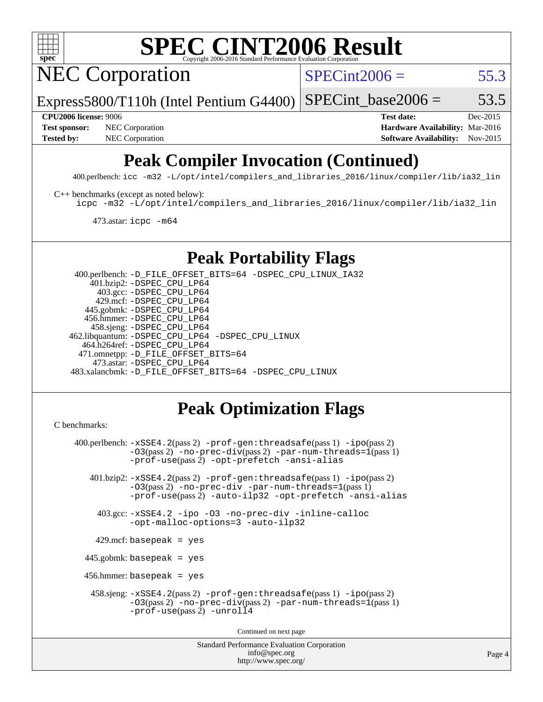

## **[SPEC CINT2006 Result](http://www.spec.org/auto/cpu2006/Docs/result-fields.html#SPECCINT2006Result)**

NEC Corporation

 $SPECint2006 = 55.3$  $SPECint2006 = 55.3$ 

Express5800/T110h (Intel Pentium G4400) SPECint base2006 =  $53.5$ 

**[Test sponsor:](http://www.spec.org/auto/cpu2006/Docs/result-fields.html#Testsponsor)** NEC Corporation **NEC Corporation [Hardware Availability:](http://www.spec.org/auto/cpu2006/Docs/result-fields.html#HardwareAvailability)** Mar-2016

**[CPU2006 license:](http://www.spec.org/auto/cpu2006/Docs/result-fields.html#CPU2006license)** 9006 **[Test date:](http://www.spec.org/auto/cpu2006/Docs/result-fields.html#Testdate)** Dec-2015 [Tested by:](http://www.spec.org/auto/cpu2006/Docs/result-fields.html#Testedby) NEC Corporation **[Software Availability:](http://www.spec.org/auto/cpu2006/Docs/result-fields.html#SoftwareAvailability)** Nov-2015

### **[Peak Compiler Invocation \(Continued\)](http://www.spec.org/auto/cpu2006/Docs/result-fields.html#PeakCompilerInvocation)**

400.perlbench: [icc -m32 -L/opt/intel/compilers\\_and\\_libraries\\_2016/linux/compiler/lib/ia32\\_lin](http://www.spec.org/cpu2006/results/res2016q1/cpu2006-20160125-38835.flags.html#user_peakCCLD400_perlbench_intel_icc_e10256ba5924b668798078a321b0cb3f)

[C++ benchmarks \(except as noted below\):](http://www.spec.org/auto/cpu2006/Docs/result-fields.html#CXXbenchmarksexceptasnotedbelow)

[icpc -m32 -L/opt/intel/compilers\\_and\\_libraries\\_2016/linux/compiler/lib/ia32\\_lin](http://www.spec.org/cpu2006/results/res2016q1/cpu2006-20160125-38835.flags.html#user_CXXpeak_intel_icpc_b4f50a394bdb4597aa5879c16bc3f5c5)

473.astar: [icpc -m64](http://www.spec.org/cpu2006/results/res2016q1/cpu2006-20160125-38835.flags.html#user_peakCXXLD473_astar_intel_icpc_64bit_fc66a5337ce925472a5c54ad6a0de310)

### **[Peak Portability Flags](http://www.spec.org/auto/cpu2006/Docs/result-fields.html#PeakPortabilityFlags)**

 400.perlbench: [-D\\_FILE\\_OFFSET\\_BITS=64](http://www.spec.org/cpu2006/results/res2016q1/cpu2006-20160125-38835.flags.html#user_peakPORTABILITY400_perlbench_file_offset_bits_64_438cf9856305ebd76870a2c6dc2689ab) [-DSPEC\\_CPU\\_LINUX\\_IA32](http://www.spec.org/cpu2006/results/res2016q1/cpu2006-20160125-38835.flags.html#b400.perlbench_peakCPORTABILITY_DSPEC_CPU_LINUX_IA32) 401.bzip2: [-DSPEC\\_CPU\\_LP64](http://www.spec.org/cpu2006/results/res2016q1/cpu2006-20160125-38835.flags.html#suite_peakPORTABILITY401_bzip2_DSPEC_CPU_LP64) 403.gcc: [-DSPEC\\_CPU\\_LP64](http://www.spec.org/cpu2006/results/res2016q1/cpu2006-20160125-38835.flags.html#suite_peakPORTABILITY403_gcc_DSPEC_CPU_LP64) 429.mcf: [-DSPEC\\_CPU\\_LP64](http://www.spec.org/cpu2006/results/res2016q1/cpu2006-20160125-38835.flags.html#suite_peakPORTABILITY429_mcf_DSPEC_CPU_LP64) 445.gobmk: [-DSPEC\\_CPU\\_LP64](http://www.spec.org/cpu2006/results/res2016q1/cpu2006-20160125-38835.flags.html#suite_peakPORTABILITY445_gobmk_DSPEC_CPU_LP64) 456.hmmer: [-DSPEC\\_CPU\\_LP64](http://www.spec.org/cpu2006/results/res2016q1/cpu2006-20160125-38835.flags.html#suite_peakPORTABILITY456_hmmer_DSPEC_CPU_LP64) 458.sjeng: [-DSPEC\\_CPU\\_LP64](http://www.spec.org/cpu2006/results/res2016q1/cpu2006-20160125-38835.flags.html#suite_peakPORTABILITY458_sjeng_DSPEC_CPU_LP64) 462.libquantum: [-DSPEC\\_CPU\\_LP64](http://www.spec.org/cpu2006/results/res2016q1/cpu2006-20160125-38835.flags.html#suite_peakPORTABILITY462_libquantum_DSPEC_CPU_LP64) [-DSPEC\\_CPU\\_LINUX](http://www.spec.org/cpu2006/results/res2016q1/cpu2006-20160125-38835.flags.html#b462.libquantum_peakCPORTABILITY_DSPEC_CPU_LINUX) 464.h264ref: [-DSPEC\\_CPU\\_LP64](http://www.spec.org/cpu2006/results/res2016q1/cpu2006-20160125-38835.flags.html#suite_peakPORTABILITY464_h264ref_DSPEC_CPU_LP64) 471.omnetpp: [-D\\_FILE\\_OFFSET\\_BITS=64](http://www.spec.org/cpu2006/results/res2016q1/cpu2006-20160125-38835.flags.html#user_peakPORTABILITY471_omnetpp_file_offset_bits_64_438cf9856305ebd76870a2c6dc2689ab) 473.astar: [-DSPEC\\_CPU\\_LP64](http://www.spec.org/cpu2006/results/res2016q1/cpu2006-20160125-38835.flags.html#suite_peakPORTABILITY473_astar_DSPEC_CPU_LP64) 483.xalancbmk: [-D\\_FILE\\_OFFSET\\_BITS=64](http://www.spec.org/cpu2006/results/res2016q1/cpu2006-20160125-38835.flags.html#user_peakPORTABILITY483_xalancbmk_file_offset_bits_64_438cf9856305ebd76870a2c6dc2689ab) [-DSPEC\\_CPU\\_LINUX](http://www.spec.org/cpu2006/results/res2016q1/cpu2006-20160125-38835.flags.html#b483.xalancbmk_peakCXXPORTABILITY_DSPEC_CPU_LINUX)

### **[Peak Optimization Flags](http://www.spec.org/auto/cpu2006/Docs/result-fields.html#PeakOptimizationFlags)**

<http://www.spec.org/>

```
Standard Performance Evaluation Corporation
                                          info@spec.org
C benchmarks: 
     400.perlbench: -xSSE4.2(pass 2) -prof-gen:threadsafe(pass 1) -ipo(pass 2)
                -03(pass 2)-no-prec-div-par-num-threads=1(pass 1)
                -prof-use(pass 2) -opt-prefetch -ansi-alias
        401.bzip2: -xSSE4.2(pass 2) -prof-gen:threadsafe(pass 1) -ipo(pass 2)
                -O3(pass 2) -no-prec-div -par-num-threads=1(pass 1)
                -prof-use(pass 2) -auto-ilp32 -opt-prefetch -ansi-alias
          403.gcc: -xSSE4.2 -ipo -O3 -no-prec-div -inline-calloc
                -opt-malloc-options=3 -auto-ilp32
         429.mcf: basepeak = yes
       445.gobmk: basepeak = yes
       456.hmmer: basepeak = yes
         458.sjeng: -xSSE4.2(pass 2) -prof-gen:threadsafe(pass 1) -ipo(pass 2)
                -O3(pass 2) -no-prec-div(pass 2) -par-num-threads=1(pass 1)
                -prof-use(pass 2) -unroll4
                                        Continued on next page
```